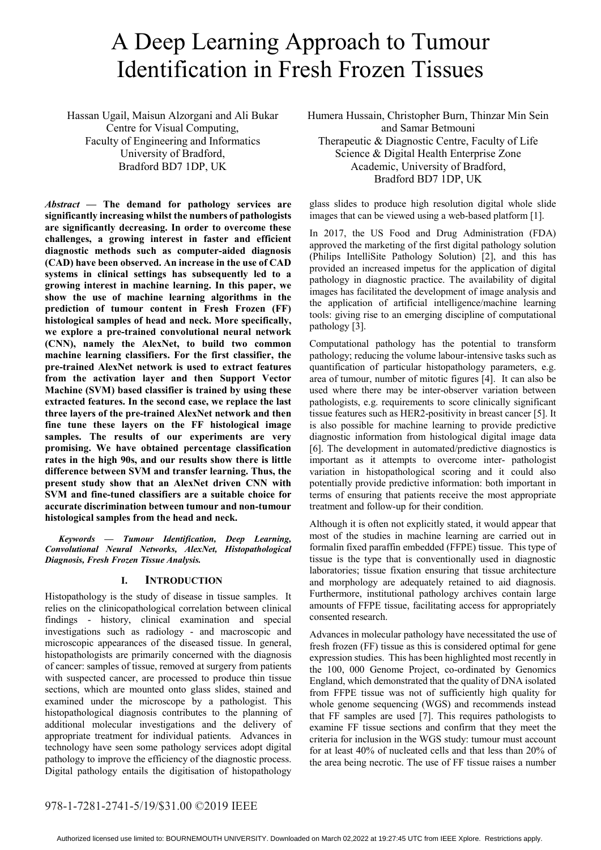# A Deep Learning Approach to Tumour Identification in Fresh Frozen Tissues

Hassan Ugail, Maisun Alzorgani and Ali Bukar Centre for Visual Computing, Faculty of Engineering and Informatics University of Bradford, Bradford BD7 1DP, UK

*Abstract* **— The demand for pathology services are significantly increasing whilst the numbers of pathologists are significantly decreasing. In order to overcome these challenges, a growing interest in faster and efficient diagnostic methods such as computer-aided diagnosis (CAD) have been observed. An increase in the use of CAD systems in clinical settings has subsequently led to a growing interest in machine learning. In this paper, we show the use of machine learning algorithms in the prediction of tumour content in Fresh Frozen (FF) histological samples of head and neck. More specifically, we explore a pre-trained convolutional neural network (CNN), namely the AlexNet, to build two common machine learning classifiers. For the first classifier, the pre-trained AlexNet network is used to extract features from the activation layer and then Support Vector Machine (SVM) based classifier is trained by using these extracted features. In the second case, we replace the last three layers of the pre-trained AlexNet network and then fine tune these layers on the FF histological image samples. The results of our experiments are very promising. We have obtained percentage classification rates in the high 90s, and our results show there is little difference between SVM and transfer learning. Thus, the present study show that an AlexNet driven CNN with SVM and fine-tuned classifiers are a suitable choice for accurate discrimination between tumour and non-tumour histological samples from the head and neck.** 

*Keywords — Tumour Identification, Deep Learning, Convolutional Neural Networks, AlexNet, Histopathological Diagnosis, Fresh Frozen Tissue Analysis.* 

# **I. INTRODUCTION**

Histopathology is the study of disease in tissue samples. It relies on the clinicopathological correlation between clinical findings - history, clinical examination and special investigations such as radiology - and macroscopic and microscopic appearances of the diseased tissue. In general, histopathologists are primarily concerned with the diagnosis of cancer: samples of tissue, removed at surgery from patients with suspected cancer, are processed to produce thin tissue sections, which are mounted onto glass slides, stained and examined under the microscope by a pathologist. This histopathological diagnosis contributes to the planning of additional molecular investigations and the delivery of appropriate treatment for individual patients. Advances in technology have seen some pathology services adopt digital pathology to improve the efficiency of the diagnostic process. Digital pathology entails the digitisation of histopathology

Humera Hussain, Christopher Burn, Thinzar Min Sein and Samar Betmouni Therapeutic & Diagnostic Centre, Faculty of Life Science & Digital Health Enterprise Zone Academic, University of Bradford, Bradford BD7 1DP, UK

glass slides to produce high resolution digital whole slide images that can be viewed using a web-based platform [1].

In 2017, the US Food and Drug Administration (FDA) approved the marketing of the first digital pathology solution (Philips IntelliSite Pathology Solution) [2], and this has provided an increased impetus for the application of digital pathology in diagnostic practice. The availability of digital images has facilitated the development of image analysis and the application of artificial intelligence/machine learning tools: giving rise to an emerging discipline of computational pathology [3].

Computational pathology has the potential to transform pathology; reducing the volume labour-intensive tasks such as quantification of particular histopathology parameters, e.g. area of tumour, number of mitotic figures [4]. It can also be used where there may be inter-observer variation between pathologists, e.g. requirements to score clinically significant tissue features such as HER2-positivity in breast cancer [5]. It is also possible for machine learning to provide predictive diagnostic information from histological digital image data [6]. The development in automated/predictive diagnostics is important as it attempts to overcome inter- pathologist variation in histopathological scoring and it could also potentially provide predictive information: both important in terms of ensuring that patients receive the most appropriate treatment and follow-up for their condition.

Although it is often not explicitly stated, it would appear that most of the studies in machine learning are carried out in formalin fixed paraffin embedded (FFPE) tissue. This type of tissue is the type that is conventionally used in diagnostic laboratories; tissue fixation ensuring that tissue architecture and morphology are adequately retained to aid diagnosis. Furthermore, institutional pathology archives contain large amounts of FFPE tissue, facilitating access for appropriately consented research.

Advances in molecular pathology have necessitated the use of fresh frozen (FF) tissue as this is considered optimal for gene expression studies. This has been highlighted most recently in the 100, 000 Genome Project, co-ordinated by Genomics England, which demonstrated that the quality of DNA isolated from FFPE tissue was not of sufficiently high quality for whole genome sequencing (WGS) and recommends instead that FF samples are used [7]. This requires pathologists to examine FF tissue sections and confirm that they meet the criteria for inclusion in the WGS study: tumour must account for at least 40% of nucleated cells and that less than 20% of the area being necrotic. The use of FF tissue raises a number

# 978-1-7281-2741-5/19/\$31.00 ©2019 IEEE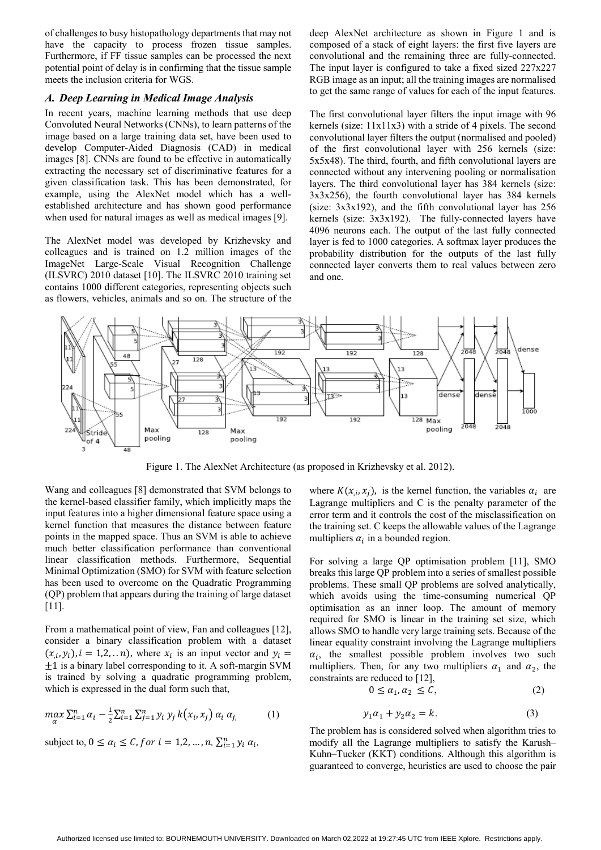of challenges to busy histopathology departments that may not have the capacity to process frozen tissue samples. Furthermore, if FF tissue samples can be processed the next potential point of delay is in confirming that the tissue sample meets the inclusion criteria for WGS.

## *A. Deep Learning in Medical Image Analysis*

In recent years, machine learning methods that use deep Convoluted Neural Networks (CNNs), to learn patterns of the image based on a large training data set, have been used to develop Computer-Aided Diagnosis (CAD) in medical images [8]. CNNs are found to be effective in automatically extracting the necessary set of discriminative features for a given classification task. This has been demonstrated, for example, using the AlexNet model which has a wellestablished architecture and has shown good performance when used for natural images as well as medical images [9].

The AlexNet model was developed by Krizhevsky and colleagues and is trained on 1.2 million images of the ImageNet Large-Scale Visual Recognition Challenge (ILSVRC) 2010 dataset [10]. The ILSVRC 2010 training set contains 1000 different categories, representing objects such as flowers, vehicles, animals and so on. The structure of the deep AlexNet architecture as shown in Figure 1 and is composed of a stack of eight layers: the first five layers are convolutional and the remaining three are fully-connected. The input layer is configured to take a fixed sized 227x227 RGB image as an input; all the training images are normalised to get the same range of values for each of the input features.

The first convolutional layer filters the input image with 96 kernels (size: 11x11x3) with a stride of 4 pixels. The second convolutional layer filters the output (normalised and pooled) of the first convolutional layer with 256 kernels (size: 5x5x48). The third, fourth, and fifth convolutional layers are connected without any intervening pooling or normalisation layers. The third convolutional layer has 384 kernels (size: 3x3x256), the fourth convolutional layer has 384 kernels (size: 3x3x192), and the fifth convolutional layer has 256 kernels (size: 3x3x192). The fully-connected layers have 4096 neurons each. The output of the last fully connected layer is fed to 1000 categories. A softmax layer produces the probability distribution for the outputs of the last fully connected layer converts them to real values between zero and one.



Figure 1. The AlexNet Architecture (as proposed in Krizhevsky et al. 2012).

Wang and colleagues [8] demonstrated that SVM belongs to the kernel-based classifier family, which implicitly maps the input features into a higher dimensional feature space using a kernel function that measures the distance between feature points in the mapped space. Thus an SVM is able to achieve much better classification performance than conventional linear classification methods. Furthermore, Sequential Minimal Optimization (SMO) for SVM with feature selection has been used to overcome on the Quadratic Programming (QP) problem that appears during the training of large dataset [11].

From a mathematical point of view, Fan and colleagues [12], consider a binary classification problem with a dataset  $(x_i, y_i)$ ,  $i = 1, 2, \dots n$ , where  $x_i$  is an input vector and  $y_i =$  $\pm$ 1 is a binary label corresponding to it. A soft-margin SVM is trained by solving a quadratic programming problem, which is expressed in the dual form such that,

$$
\max_{\alpha} \sum_{i=1}^{n} \alpha_i - \frac{1}{2} \sum_{i=1}^{n} \sum_{j=1}^{n} y_j k(x_i, x_j) \alpha_i \alpha_j, \qquad (1)
$$

subject to,  $0 \le \alpha_i \le C$ , for  $i = 1,2,...,n$ ,  $\sum_{i=1}^{n} y_i \alpha_i$ ,

where  $K(x_i, x_i)$ , is the kernel function, the variables  $\alpha_i$  are Lagrange multipliers and C is the penalty parameter of the error term and it controls the cost of the misclassification on the training set. C keeps the allowable values of the Lagrange multipliers  $\alpha_i$  in a bounded region.

For solving a large QP optimisation problem [11], SMO breaks this large QP problem into a series of smallest possible problems. These small QP problems are solved analytically, which avoids using the time-consuming numerical QP optimisation as an inner loop. The amount of memory required for SMO is linear in the training set size, which allows SMO to handle very large training sets. Because of the linear equality constraint involving the Lagrange multipliers  $\alpha_i$ , the smallest possible problem involves two such multipliers. Then, for any two multipliers  $\alpha_1$  and  $\alpha_2$ , the constraints are reduced to [12],

$$
0 \le \alpha_1, \alpha_2 \le C,\tag{2}
$$

$$
y_1 \alpha_1 + y_2 \alpha_2 = k. \tag{3}
$$

The problem has is considered solved when algorithm tries to modify all the Lagrange multipliers to satisfy the Karush– Kuhn–Tucker (KKT) conditions. Although this algorithm is guaranteed to converge, heuristics are used to choose the pair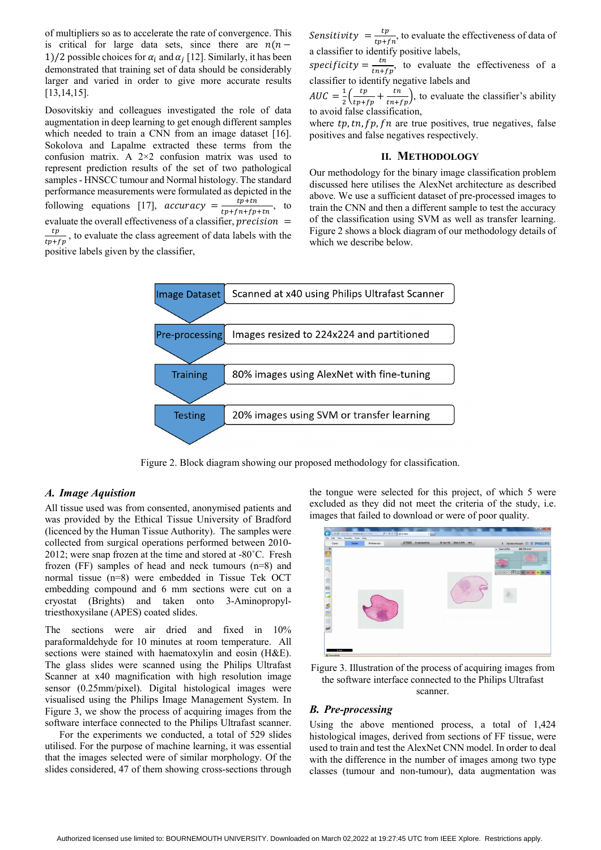of multipliers so as to accelerate the rate of convergence. This is critical for large data sets, since there are  $n(n -$ 1)/2 possible choices for  $\alpha_i$  and  $\alpha_j$  [12]. Similarly, it has been demonstrated that training set of data should be considerably larger and varied in order to give more accurate results [13,14,15].

Dosovitskiy and colleagues investigated the role of data augmentation in deep learning to get enough different samples which needed to train a CNN from an image dataset [16]. Sokolova and Lapalme extracted these terms from the confusion matrix. A 2×2 confusion matrix was used to represent prediction results of the set of two pathological samples - HNSCC tumour and Normal histology. The standard performance measurements were formulated as depicted in the following equations [17],  $accuracy = \frac{tp+tn}{tp+fn+fp+tn}$ , to evaluate the overall effectiveness of a classifier,  $precision =$  $\frac{tp}{tp+fp}$ , to evaluate the class agreement of data labels with the positive labels given by the classifier,

Sensitivity  $= \frac{tp}{tp + fn}$ , to evaluate the effectiveness of data of a classifier to identify positive labels,

specificity =  $\frac{tn}{tn+fp}$ , to evaluate the effectiveness of a classifier to identify negative labels and

 $AUC = \frac{1}{2} \left( \frac{tp}{tp + fp} + \frac{tn}{tn + fp} \right)$ , to evaluate the classifier's ability to avoid false classification,

where  $tp, tn, fp, fn$  are true positives, true negatives, false positives and false negatives respectively.

#### **II. METHODOLOGY**

Our methodology for the binary image classification problem discussed here utilises the AlexNet architecture as described above. We use a sufficient dataset of pre-processed images to train the CNN and then a different sample to test the accuracy of the classification using SVM as well as transfer learning. Figure 2 shows a block diagram of our methodology details of which we describe below.



Figure 2. Block diagram showing our proposed methodology for classification.

#### *A. Image Aquistion*

All tissue used was from consented, anonymised patients and was provided by the Ethical Tissue University of Bradford (licenced by the Human Tissue Authority). The samples were collected from surgical operations performed between 2010- 2012; were snap frozen at the time and stored at -80˚C. Fresh frozen (FF) samples of head and neck tumours (n=8) and normal tissue (n=8) were embedded in Tissue Tek OCT embedding compound and 6 mm sections were cut on a cryostat (Brights) and taken onto 3-Aminopropyltriesthoxysilane (APES) coated slides.

The sections were air dried and fixed in 10% paraformaldehyde for 10 minutes at room temperature. All sections were stained with haematoxylin and eosin (H&E). The glass slides were scanned using the Philips Ultrafast Scanner at x40 magnification with high resolution image sensor (0.25mm/pixel). Digital histological images were visualised using the Philips Image Management System. In Figure 3, we show the process of acquiring images from the software interface connected to the Philips Ultrafast scanner.

 For the experiments we conducted, a total of 529 slides utilised. For the purpose of machine learning, it was essential that the images selected were of similar morphology. Of the slides considered, 47 of them showing cross-sections through

the tongue were selected for this project, of which 5 were excluded as they did not meet the criteria of the study, i.e. images that failed to download or were of poor quality.



Figure 3. Illustration of the process of acquiring images from the software interface connected to the Philips Ultrafast scanner.

#### *B. Pre-processing*

Using the above mentioned process, a total of 1,424 histological images, derived from sections of FF tissue, were used to train and test the AlexNet CNN model. In order to deal with the difference in the number of images among two type classes (tumour and non-tumour), data augmentation was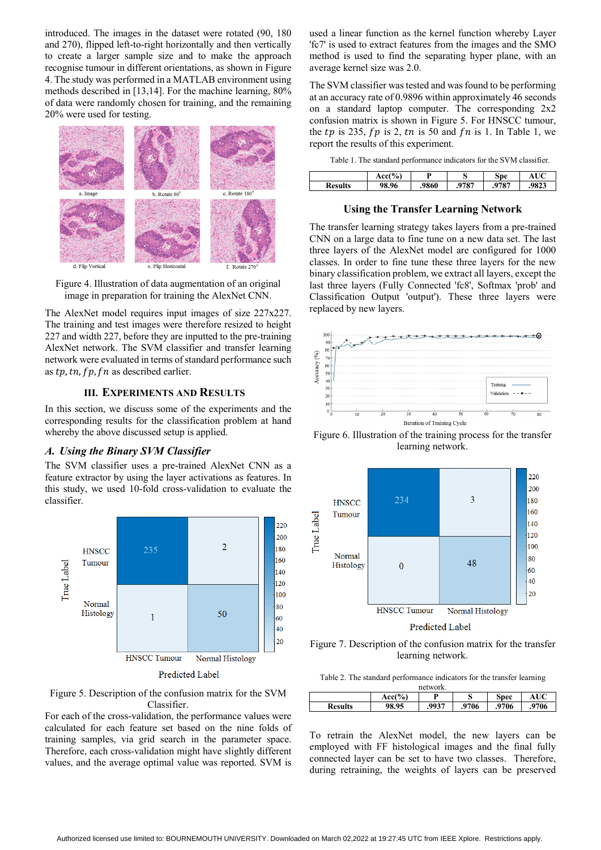introduced. The images in the dataset were rotated (90, 180 and 270), flipped left-to-right horizontally and then vertically to create a larger sample size and to make the approach recognise tumour in different orientations, as shown in Figure 4. The study was performed in a MATLAB environment using methods described in [13,14]. For the machine learning, 80% of data were randomly chosen for training, and the remaining 20% were used for testing.



Figure 4. Illustration of data augmentation of an original image in preparation for training the AlexNet CNN.

The AlexNet model requires input images of size 227x227. The training and test images were therefore resized to height 227 and width 227, before they are inputted to the pre-training AlexNet network. The SVM classifier and transfer learning network were evaluated in terms of standard performance such as  $tp, tn, fp, fn$  as described earlier.

## **III. EXPERIMENTS AND RESULTS**

In this section, we discuss some of the experiments and the corresponding results for the classification problem at hand whereby the above discussed setup is applied.

#### *A. Using the Binary SVM Classifier*

The SVM classifier uses a pre-trained AlexNet CNN as a feature extractor by using the layer activations as features. In this study, we used 10-fold cross-validation to evaluate the classifier.



Figure 5. Description of the confusion matrix for the SVM Classifier.

For each of the cross-validation, the performance values were calculated for each feature set based on the nine folds of training samples, via grid search in the parameter space. Therefore, each cross-validation might have slightly different values, and the average optimal value was reported. SVM is

used a linear function as the kernel function whereby Layer 'fc7' is used to extract features from the images and the SMO method is used to find the separating hyper plane, with an average kernel size was 2.0.

The SVM classifier was tested and was found to be performing at an accuracy rate of 0.9896 within approximately 46 seconds on a standard laptop computer. The corresponding 2x2 confusion matrix is shown in Figure 5. For HNSCC tumour, the tp is 235,  $fp$  is 2,  $tn$  is 50 and  $fn$  is 1. In Table 1, we report the results of this experiment.

| Table 1. The standard performance indicators for the SVM classifier. |
|----------------------------------------------------------------------|
|----------------------------------------------------------------------|

|                | $cc/\%$ | D     | ີ     | Spe  |               |
|----------------|---------|-------|-------|------|---------------|
| <b>Results</b> | 98.96   | .9860 | .9787 | 9787 | 0022<br>ن⊿ند. |

## **Using the Transfer Learning Network**

The transfer learning strategy takes layers from a pre-trained CNN on a large data to fine tune on a new data set. The last three layers of the AlexNet model are configured for 1000 classes. In order to fine tune these three layers for the new binary classification problem, we extract all layers, except the last three layers (Fully Connected 'fc8', Softmax 'prob' and Classification Output 'output'). These three layers were replaced by new layers.



Figure 6. Illustration of the training process for the transfer learning network.



Figure 7. Description of the confusion matrix for the transfer learning network.

| Table 2. The standard performance indicators for the transfer learning |  |  |  |  |  |  |  |
|------------------------------------------------------------------------|--|--|--|--|--|--|--|
| network.                                                               |  |  |  |  |  |  |  |

| 110000011      |          |       |      |       |      |  |  |  |
|----------------|----------|-------|------|-------|------|--|--|--|
|                | $Acc(\%$ | D     | ມ    | Spec  |      |  |  |  |
| <b>Results</b> | 98.95    | .9937 | 9706 | .9706 | 9706 |  |  |  |
|                |          |       |      |       |      |  |  |  |

To retrain the AlexNet model, the new layers can be employed with FF histological images and the final fully connected layer can be set to have two classes. Therefore, during retraining, the weights of layers can be preserved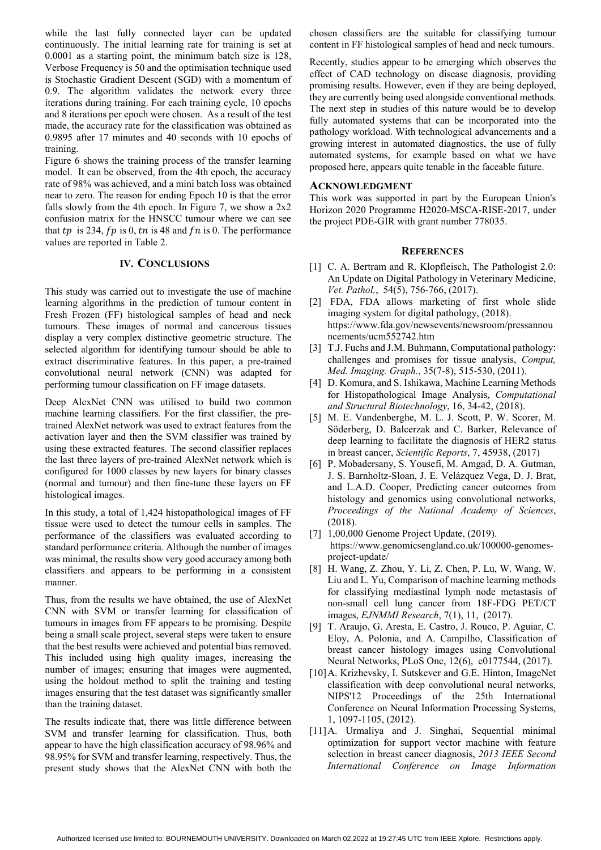while the last fully connected layer can be updated continuously. The initial learning rate for training is set at 0.0001 as a starting point, the minimum batch size is 128, Verbose Frequency is 50 and the optimisation technique used is Stochastic Gradient Descent (SGD) with a momentum of 0.9. The algorithm validates the network every three iterations during training. For each training cycle, 10 epochs and 8 iterations per epoch were chosen. As a result of the test made, the accuracy rate for the classification was obtained as 0.9895 after 17 minutes and 40 seconds with 10 epochs of training.

Figure 6 shows the training process of the transfer learning model. It can be observed, from the 4th epoch, the accuracy rate of 98% was achieved, and a mini batch loss was obtained near to zero. The reason for ending Epoch 10 is that the error falls slowly from the 4th epoch. In Figure 7, we show a  $2x2$ confusion matrix for the HNSCC tumour where we can see that tp is 234,  $fp$  is 0, tn is 48 and  $fn$  is 0. The performance values are reported in Table 2.

## **IV. CONCLUSIONS**

This study was carried out to investigate the use of machine learning algorithms in the prediction of tumour content in Fresh Frozen (FF) histological samples of head and neck tumours. These images of normal and cancerous tissues display a very complex distinctive geometric structure. The selected algorithm for identifying tumour should be able to extract discriminative features. In this paper, a pre-trained convolutional neural network (CNN) was adapted for performing tumour classification on FF image datasets.

Deep AlexNet CNN was utilised to build two common machine learning classifiers. For the first classifier, the pretrained AlexNet network was used to extract features from the activation layer and then the SVM classifier was trained by using these extracted features. The second classifier replaces the last three layers of pre-trained AlexNet network which is configured for 1000 classes by new layers for binary classes (normal and tumour) and then fine-tune these layers on FF histological images.

In this study, a total of 1,424 histopathological images of FF tissue were used to detect the tumour cells in samples. The performance of the classifiers was evaluated according to standard performance criteria. Although the number of images was minimal, the results show very good accuracy among both classifiers and appears to be performing in a consistent manner.

Thus, from the results we have obtained, the use of AlexNet CNN with SVM or transfer learning for classification of tumours in images from FF appears to be promising. Despite being a small scale project, several steps were taken to ensure that the best results were achieved and potential bias removed. This included using high quality images, increasing the number of images; ensuring that images were augmented, using the holdout method to split the training and testing images ensuring that the test dataset was significantly smaller than the training dataset.

The results indicate that, there was little difference between SVM and transfer learning for classification. Thus, both appear to have the high classification accuracy of 98.96% and 98.95% for SVM and transfer learning, respectively. Thus, the present study shows that the AlexNet CNN with both the

chosen classifiers are the suitable for classifying tumour content in FF histological samples of head and neck tumours.

Recently, studies appear to be emerging which observes the effect of CAD technology on disease diagnosis, providing promising results. However, even if they are being deployed, they are currently being used alongside conventional methods. The next step in studies of this nature would be to develop fully automated systems that can be incorporated into the pathology workload. With technological advancements and a growing interest in automated diagnostics, the use of fully automated systems, for example based on what we have proposed here, appears quite tenable in the faceable future.

## **ACKNOWLEDGMENT**

This work was supported in part by the European Union's Horizon 2020 Programme H2020-MSCA-RISE-2017, under the project PDE-GIR with grant number 778035.

## **REFERENCES**

- [1] C. A. Bertram and R. Klopfleisch, The Pathologist 2.0: An Update on Digital Pathology in Veterinary Medicine, *Vet. Pathol,*, 54(5), 756-766, (2017).
- [2] FDA, FDA allows marketing of first whole slide imaging system for digital pathology, (2018). https://www.fda.gov/newsevents/newsroom/pressannou ncements/ucm552742.htm
- [3] T.J. Fuchs and J.M. Buhmann, Computational pathology: challenges and promises for tissue analysis, *Comput, Med. Imaging. Graph.*, 35(7-8), 515-530, (2011).
- [4] D. Komura, and S. Ishikawa, Machine Learning Methods for Histopathological Image Analysis, *Computational and Structural Biotechnology*, 16, 34-42, (2018).
- [5] M. E. Vandenberghe, M. L. J. Scott, P. W. Scorer, M. Söderberg, D. Balcerzak and C. Barker, Relevance of deep learning to facilitate the diagnosis of HER2 status in breast cancer, *Scientific Reports*, 7, 45938, (2017)
- [6] P. Mobadersany, S. Yousefi, M. Amgad, D. A. Gutman, J. S. Barnholtz-Sloan, J. E. Velázquez Vega, D. J. Brat, and L.A.D. Cooper, Predicting cancer outcomes from histology and genomics using convolutional networks, *Proceedings of the National Academy of Sciences*, (2018).
- [7] 1,00,000 Genome Project Update, (2019). https://www.genomicsengland.co.uk/100000-genomesproject-update/
- [8] H. Wang, Z. Zhou, Y. Li, Z. Chen, P. Lu, W. Wang, W. Liu and L. Yu, Comparison of machine learning methods for classifying mediastinal lymph node metastasis of non-small cell lung cancer from 18F-FDG PET/CT images, *EJNMMI Research*, 7(1), 11, (2017).
- [9] T. Araujo, G. Aresta, E. Castro, J. Rouco, P. Aguiar, C. Eloy, A. Polonia, and A. Campilho, Classification of breast cancer histology images using Convolutional Neural Networks, PLoS One, 12(6), e0177544, (2017).
- [10]A. Krizhevsky, I. Sutskever and G.E. Hinton, ImageNet classification with deep convolutional neural networks, NIPS'12 Proceedings of the 25th International Conference on Neural Information Processing Systems, 1, 1097-1105, (2012).
- [11]A. Urmaliya and J. Singhai, Sequential minimal optimization for support vector machine with feature selection in breast cancer diagnosis, *2013 IEEE Second International Conference on Image Information*